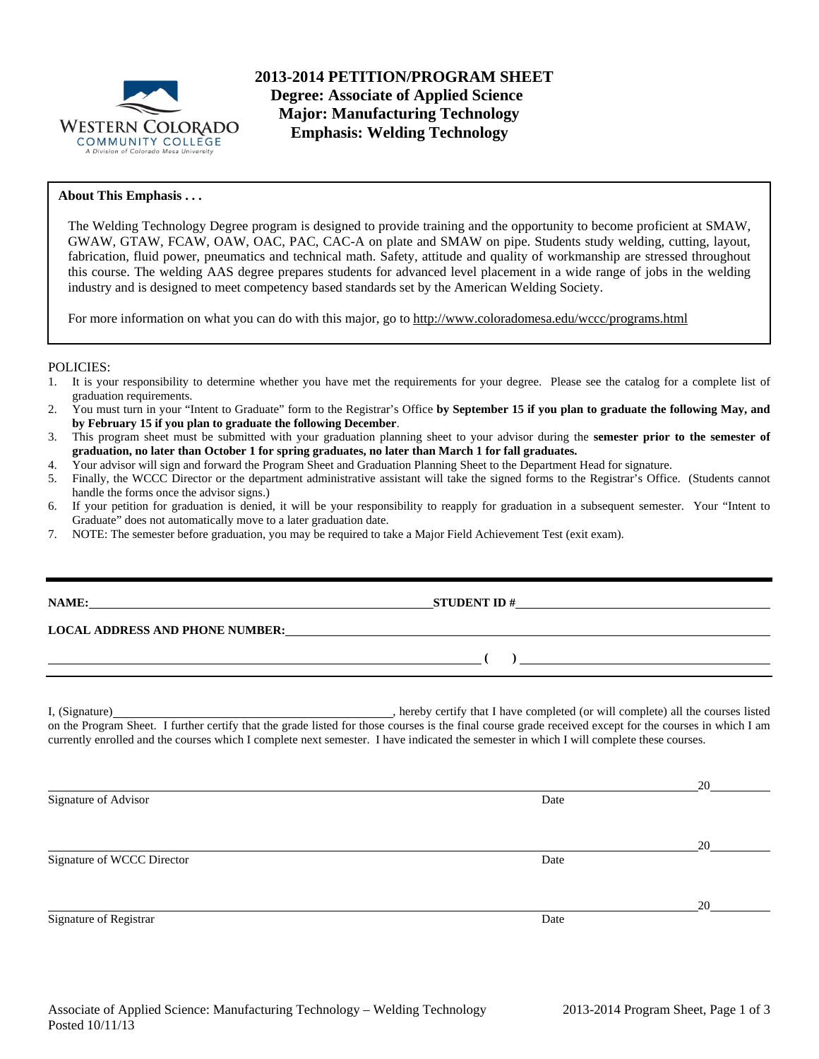

**2013-2014 PETITION/PROGRAM SHEET Degree: Associate of Applied Science Major: Manufacturing Technology Emphasis: Welding Technology** 

## **About This Emphasis . . .**

The Welding Technology Degree program is designed to provide training and the opportunity to become proficient at SMAW, GWAW, GTAW, FCAW, OAW, OAC, PAC, CAC-A on plate and SMAW on pipe. Students study welding, cutting, layout, fabrication, fluid power, pneumatics and technical math. Safety, attitude and quality of workmanship are stressed throughout this course. The welding AAS degree prepares students for advanced level placement in a wide range of jobs in the welding industry and is designed to meet competency based standards set by the American Welding Society.

For more information on what you can do with this major, go to http://www.coloradomesa.edu/wccc/programs.html

#### POLICIES:

- 1. It is your responsibility to determine whether you have met the requirements for your degree. Please see the catalog for a complete list of graduation requirements.
- 2. You must turn in your "Intent to Graduate" form to the Registrar's Office **by September 15 if you plan to graduate the following May, and by February 15 if you plan to graduate the following December**.
- 3. This program sheet must be submitted with your graduation planning sheet to your advisor during the **semester prior to the semester of graduation, no later than October 1 for spring graduates, no later than March 1 for fall graduates.**
- 4. Your advisor will sign and forward the Program Sheet and Graduation Planning Sheet to the Department Head for signature.
- 5. Finally, the WCCC Director or the department administrative assistant will take the signed forms to the Registrar's Office. (Students cannot handle the forms once the advisor signs.)
- 6. If your petition for graduation is denied, it will be your responsibility to reapply for graduation in a subsequent semester. Your "Intent to Graduate" does not automatically move to a later graduation date.
- 7. NOTE: The semester before graduation, you may be required to take a Major Field Achievement Test (exit exam).

**STUDENT ID #** 

 **( )** 

### **LOCAL ADDRESS AND PHONE NUMBER:**

I, (Signature) , hereby certify that I have completed (or will complete) all the courses listed on the Program Sheet. I further certify that the grade listed for those courses is the final course grade received except for the courses in which I am currently enrolled and the courses which I complete next semester. I have indicated the semester in which I will complete these courses.

|      | 20 |
|------|----|
| Date |    |
|      |    |
|      | 20 |
| Date |    |
|      |    |
|      | 20 |
| Date |    |
|      |    |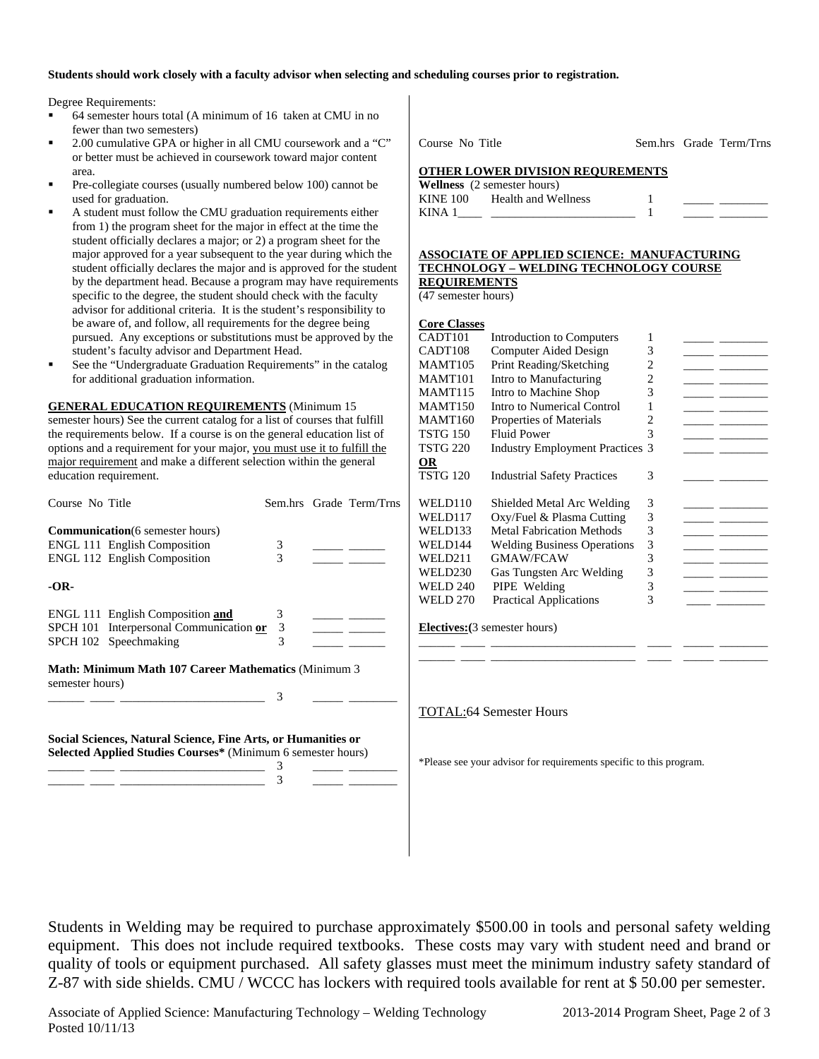### **Students should work closely with a faculty advisor when selecting and scheduling courses prior to registration.**

Degree Requirements:

- 64 semester hours total (A minimum of 16 taken at CMU in no fewer than two semesters)
- 2.00 cumulative GPA or higher in all CMU coursework and a "C" or better must be achieved in coursework toward major content area.
- Pre-collegiate courses (usually numbered below 100) cannot be used for graduation.
- A student must follow the CMU graduation requirements either from 1) the program sheet for the major in effect at the time the student officially declares a major; or 2) a program sheet for the major approved for a year subsequent to the year during which the student officially declares the major and is approved for the student by the department head. Because a program may have requirements specific to the degree, the student should check with the faculty advisor for additional criteria. It is the student's responsibility to be aware of, and follow, all requirements for the degree being pursued. Any exceptions or substitutions must be approved by the student's faculty advisor and Department Head.
- See the "Undergraduate Graduation Requirements" in the catalog for additional graduation information.

**GENERAL EDUCATION REQUIREMENTS** (Minimum 15 semester hours) See the current catalog for a list of courses that fulfill the requirements below. If a course is on the general education list of options and a requirement for your major, you must use it to fulfill the major requirement and make a different selection within the general education requirement.

| Course No Title                                                                                                                    |                                                                                                                |             |  | Sem.hrs Grade Term/Trns |
|------------------------------------------------------------------------------------------------------------------------------------|----------------------------------------------------------------------------------------------------------------|-------------|--|-------------------------|
|                                                                                                                                    | <b>Communication</b> (6 semester hours)<br><b>ENGL 111 English Composition</b><br>ENGL 112 English Composition | 3<br>3      |  |                         |
| -OR-                                                                                                                               |                                                                                                                |             |  |                         |
|                                                                                                                                    | ENGL 111 English Composition and<br>SPCH 101 Interpersonal Communication or<br>SPCH 102 Speechmaking           | 3<br>3<br>3 |  |                         |
| <b>Math: Minimum Math 107 Career Mathematics (Minimum 3)</b><br>semester hours)<br>3                                               |                                                                                                                |             |  |                         |
| Social Sciences, Natural Science, Fine Arts, or Humanities or<br>Selected Applied Studies Courses* (Minimum 6 semester hours)<br>3 |                                                                                                                |             |  |                         |

\_\_\_\_\_\_ \_\_\_\_ \_\_\_\_\_\_\_\_\_\_\_\_\_\_\_\_\_\_\_\_\_\_\_\_ 3 \_\_\_\_\_ \_\_\_\_\_\_\_\_

Course No Title Sem.hrs Grade Term/Trns

**OTHER LOWER DIVISION REQUREMENTS** 

|                 | <b>Wellness</b> (2 semester hours) |  |  |
|-----------------|------------------------------------|--|--|
| <b>KINE 100</b> | Health and Wellness                |  |  |
| KINA 1          |                                    |  |  |

#### **ASSOCIATE OF APPLIED SCIENCE: MANUFACTURING TECHNOLOGY – WELDING TECHNOLOGY COURSE REQUIREMENTS**

(47 semester hours)

| <b>Core Classes</b> |                                        |   |  |
|---------------------|----------------------------------------|---|--|
| CADT101             | Introduction to Computers              | 1 |  |
| CADT108             | Computer Aided Design                  | 3 |  |
| <b>MAMT105</b>      | Print Reading/Sketching                | 2 |  |
| MAMT101             | Intro to Manufacturing                 | 2 |  |
| MAMT115             | Intro to Machine Shop                  | 3 |  |
| MAMT150             | Intro to Numerical Control             | 1 |  |
| MAMT160             | Properties of Materials                | 2 |  |
| TSTG 150            | <b>Fluid Power</b>                     | 3 |  |
| TSTG 220            | <b>Industry Employment Practices 3</b> |   |  |
| OR                  |                                        |   |  |
| TSTG 120            | <b>Industrial Safety Practices</b>     | 3 |  |
|                     |                                        |   |  |
| WELD110             | Shielded Metal Arc Welding             | 3 |  |
| WELD117             | Oxy/Fuel & Plasma Cutting              | 3 |  |
| WELD133             | <b>Metal Fabrication Methods</b>       | 3 |  |
| WELD144             | <b>Welding Business Operations</b>     | 3 |  |
| WELD211             | <b>GMAW/FCAW</b>                       | 3 |  |
| WELD230             | Gas Tungsten Arc Welding               | 3 |  |
| WELD 240            | PIPE Welding                           | 3 |  |
| WELD 270            | <b>Practical Applications</b>          | 3 |  |
|                     |                                        |   |  |
|                     |                                        |   |  |

\_\_\_\_\_\_ \_\_\_\_ \_\_\_\_\_\_\_\_\_\_\_\_\_\_\_\_\_\_\_\_\_\_\_\_ \_\_\_\_ \_\_\_\_\_ \_\_\_\_\_\_\_\_

**Electives:(**3 semester hours) \_\_\_\_\_\_ \_\_\_\_ \_\_\_\_\_\_\_\_\_\_\_\_\_\_\_\_\_\_\_\_\_\_\_\_ \_\_\_\_ \_\_\_\_\_ \_\_\_\_\_\_\_\_

TOTAL:64 Semester Hours

\*Please see your advisor for requirements specific to this program.

Students in Welding may be required to purchase approximately \$500.00 in tools and personal safety welding equipment. This does not include required textbooks. These costs may vary with student need and brand or quality of tools or equipment purchased. All safety glasses must meet the minimum industry safety standard of Z-87 with side shields. CMU / WCCC has lockers with required tools available for rent at \$ 50.00 per semester.